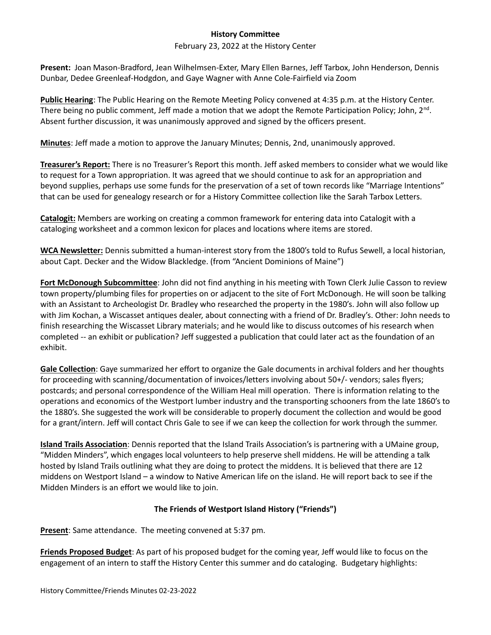## **History Committee**

## February 23, 2022 at the History Center

**Present:** Joan Mason-Bradford, Jean Wilhelmsen-Exter, Mary Ellen Barnes, Jeff Tarbox, John Henderson, Dennis Dunbar, Dedee Greenleaf-Hodgdon, and Gaye Wagner with Anne Cole-Fairfield via Zoom

**Public Hearing**: The Public Hearing on the Remote Meeting Policy convened at 4:35 p.m. at the History Center. There being no public comment, Jeff made a motion that we adopt the Remote Participation Policy; John, 2<sup>nd</sup>. Absent further discussion, it was unanimously approved and signed by the officers present.

**Minutes**: Jeff made a motion to approve the January Minutes; Dennis, 2nd, unanimously approved.

**Treasurer's Report:** There is no Treasurer's Report this month. Jeff asked members to consider what we would like to request for a Town appropriation. It was agreed that we should continue to ask for an appropriation and beyond supplies, perhaps use some funds for the preservation of a set of town records like "Marriage Intentions" that can be used for genealogy research or for a History Committee collection like the Sarah Tarbox Letters.

**Catalogit:** Members are working on creating a common framework for entering data into Catalogit with a cataloging worksheet and a common lexicon for places and locations where items are stored.

**WCA Newsletter:** Dennis submitted a human-interest story from the 1800's told to Rufus Sewell, a local historian, about Capt. Decker and the Widow Blackledge. (from "Ancient Dominions of Maine")

**Fort McDonough Subcommittee**: John did not find anything in his meeting with Town Clerk Julie Casson to review town property/plumbing files for properties on or adjacent to the site of Fort McDonough. He will soon be talking with an Assistant to Archeologist Dr. Bradley who researched the property in the 1980's. John will also follow up with Jim Kochan, a Wiscasset antiques dealer, about connecting with a friend of Dr. Bradley's. Other: John needs to finish researching the Wiscasset Library materials; and he would like to discuss outcomes of his research when completed -- an exhibit or publication? Jeff suggested a publication that could later act as the foundation of an exhibit.

**Gale Collection**: Gaye summarized her effort to organize the Gale documents in archival folders and her thoughts for proceeding with scanning/documentation of invoices/letters involving about 50+/- vendors; sales flyers; postcards; and personal correspondence of the William Heal mill operation. There is information relating to the operations and economics of the Westport lumber industry and the transporting schooners from the late 1860's to the 1880's. She suggested the work will be considerable to properly document the collection and would be good for a grant/intern. Jeff will contact Chris Gale to see if we can keep the collection for work through the summer.

**Island Trails Association**: Dennis reported that the Island Trails Association's is partnering with a UMaine group, "Midden Minders", which engages local volunteers to help preserve shell middens. He will be attending a talk hosted by Island Trails outlining what they are doing to protect the middens. It is believed that there are 12 middens on Westport Island – a window to Native American life on the island. He will report back to see if the Midden Minders is an effort we would like to join.

## **The Friends of Westport Island History ("Friends")**

**Present**: Same attendance. The meeting convened at 5:37 pm.

**Friends Proposed Budget**: As part of his proposed budget for the coming year, Jeff would like to focus on the engagement of an intern to staff the History Center this summer and do cataloging. Budgetary highlights: